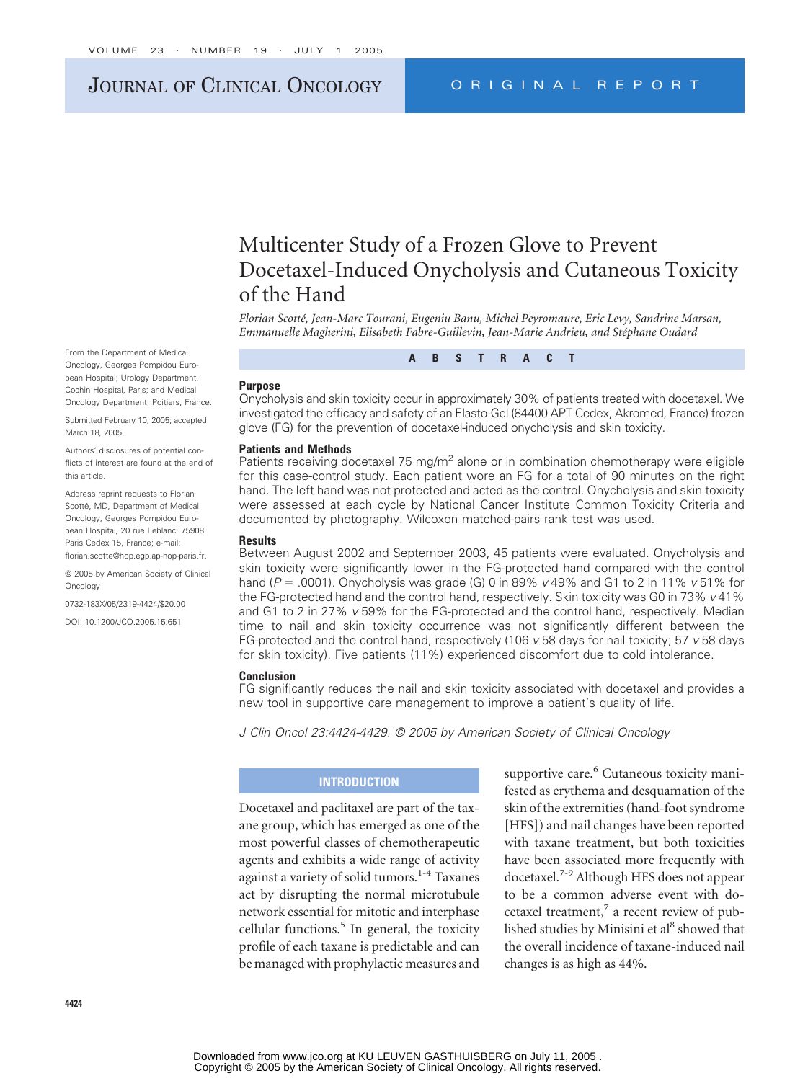# JOURNAL OF CLINICAL ONCOLOGY ORIGINAL REPORT

# Multicenter Study of a Frozen Glove to Prevent Docetaxel-Induced Onycholysis and Cutaneous Toxicity of the Hand

*Florian Scotté, Jean-Marc Tourani, Eugeniu Banu, Michel Peyromaure, Eric Levy, Sandrine Marsan, Emmanuelle Magherini, Elisabeth Fabre-Guillevin, Jean-Marie Andrieu, and Stéphane Oudard*

**ABSTRACT**

#### **Purpose**

Onycholysis and skin toxicity occur in approximately 30% of patients treated with docetaxel. We investigated the efficacy and safety of an Elasto-Gel (84400 APT Cedex, Akromed, France) frozen glove (FG) for the prevention of docetaxel-induced onycholysis and skin toxicity.

#### **Patients and Methods**

Patients receiving docetaxel 75 mg/ $m^2$  alone or in combination chemotherapy were eligible for this case-control study. Each patient wore an FG for a total of 90 minutes on the right hand. The left hand was not protected and acted as the control. Onycholysis and skin toxicity were assessed at each cycle by National Cancer Institute Common Toxicity Criteria and documented by photography. Wilcoxon matched-pairs rank test was used.

#### **Results**

Between August 2002 and September 2003, 45 patients were evaluated. Onycholysis and skin toxicity were significantly lower in the FG-protected hand compared with the control hand (*P* .0001). Onycholysis was grade (G) 0 in 89% *v* 49% and G1 to 2 in 11% *v* 51% for the FG-protected hand and the control hand, respectively. Skin toxicity was G0 in 73% *v* 41% and G1 to 2 in 27% *v* 59% for the FG-protected and the control hand, respectively. Median time to nail and skin toxicity occurrence was not significantly different between the FG-protected and the control hand, respectively (106 *v* 58 days for nail toxicity; 57 *v* 58 days for skin toxicity). Five patients (11%) experienced discomfort due to cold intolerance.

#### **Conclusion**

FG significantly reduces the nail and skin toxicity associated with docetaxel and provides a new tool in supportive care management to improve a patient's quality of life.

*J Clin Oncol 23:4424-4429. © 2005 by American Society of Clinical Oncology*

#### **INTRODUCTION**

Docetaxel and paclitaxel are part of the taxane group, which has emerged as one of the most powerful classes of chemotherapeutic agents and exhibits a wide range of activity against a variety of solid tumors.<sup>1-4</sup> Taxanes act by disrupting the normal microtubule network essential for mitotic and interphase cellular functions. $5$  In general, the toxicity profile of each taxane is predictable and can be managed with prophylactic measures and

supportive care.<sup>6</sup> Cutaneous toxicity manifested as erythema and desquamation of the skin of the extremities (hand-foot syndrome [HFS]) and nail changes have been reported with taxane treatment, but both toxicities have been associated more frequently with docetaxel.7-9 Although HFS does not appear to be a common adverse event with docetaxel treatment, $\frac{7}{4}$  a recent review of published studies by Minisini et al<sup>8</sup> showed that the overall incidence of taxane-induced nail changes is as high as 44%.

From the Department of Medical Oncology, Georges Pompidou European Hospital; Urology Department, Cochin Hospital, Paris; and Medical Oncology Department, Poitiers, France.

Submitted February 10, 2005; accepted March 18, 2005.

Authors' disclosures of potential conflicts of interest are found at the end of this article.

Address reprint requests to Florian Scotté, MD, Department of Medical Oncology, Georges Pompidou European Hospital, 20 rue Leblanc, 75908, Paris Cedex 15, France; e-mail: florian.scotte@hop.egp.ap-hop-paris.fr.

© 2005 by American Society of Clinical Oncology

0732-183X/05/2319-4424/\$20.00

DOI: 10.1200/JCO.2005.15.651

**4424**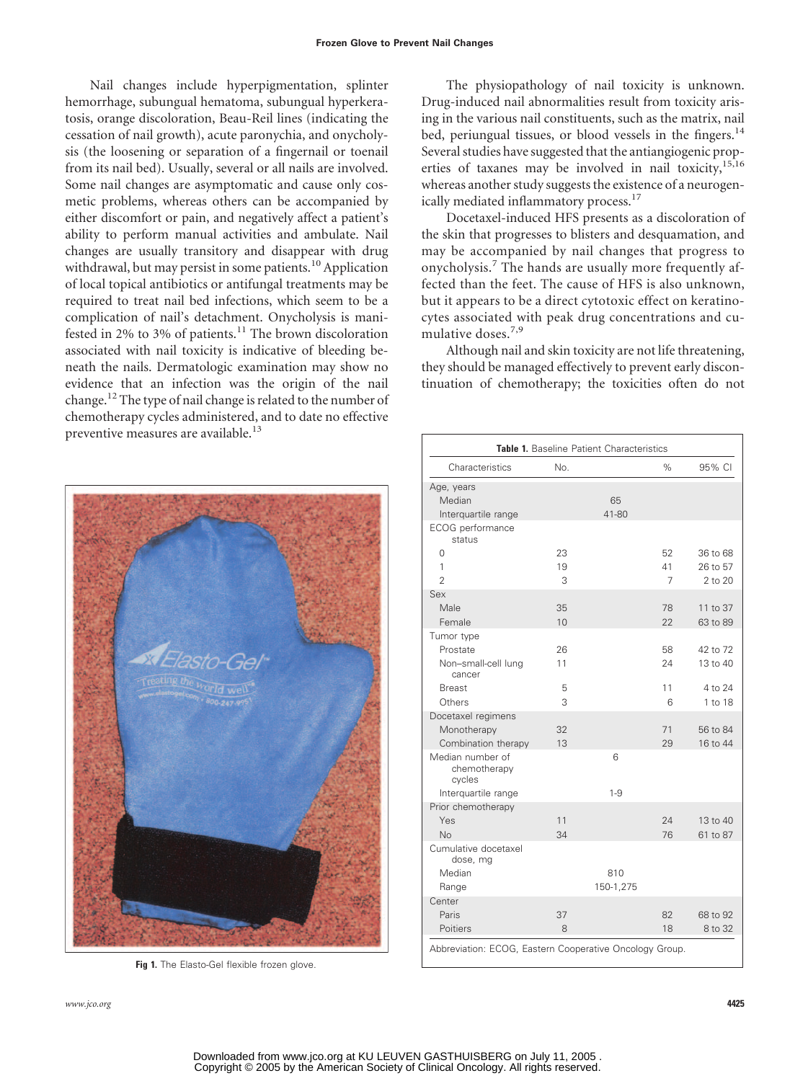Nail changes include hyperpigmentation, splinter hemorrhage, subungual hematoma, subungual hyperkeratosis, orange discoloration, Beau-Reil lines (indicating the cessation of nail growth), acute paronychia, and onycholysis (the loosening or separation of a fingernail or toenail from its nail bed). Usually, several or all nails are involved. Some nail changes are asymptomatic and cause only cosmetic problems, whereas others can be accompanied by either discomfort or pain, and negatively affect a patient's ability to perform manual activities and ambulate. Nail changes are usually transitory and disappear with drug withdrawal, but may persist in some patients.<sup>10</sup> Application of local topical antibiotics or antifungal treatments may be required to treat nail bed infections, which seem to be a complication of nail's detachment. Onycholysis is manifested in 2% to 3% of patients.<sup>11</sup> The brown discoloration associated with nail toxicity is indicative of bleeding beneath the nails. Dermatologic examination may show no evidence that an infection was the origin of the nail change.<sup>12</sup> The type of nail change is related to the number of chemotherapy cycles administered, and to date no effective preventive measures are available.<sup>13</sup>

The physiopathology of nail toxicity is unknown. Drug-induced nail abnormalities result from toxicity arising in the various nail constituents, such as the matrix, nail bed, periungual tissues, or blood vessels in the fingers.<sup>14</sup> Several studies have suggested that the antiangiogenic properties of taxanes may be involved in nail toxicity,<sup>15,16</sup> whereas another study suggests the existence of a neurogenically mediated inflammatory process.<sup>17</sup>

Docetaxel-induced HFS presents as a discoloration of the skin that progresses to blisters and desquamation, and may be accompanied by nail changes that progress to onycholysis.<sup>7</sup> The hands are usually more frequently affected than the feet. The cause of HFS is also unknown, but it appears to be a direct cytotoxic effect on keratinocytes associated with peak drug concentrations and cumulative doses.<sup>7,9</sup>

Although nail and skin toxicity are not life threatening, they should be managed effectively to prevent early discontinuation of chemotherapy; the toxicities often do not



**Fig 1.** The Elasto-Gel flexible frozen glove.

*www.jco.org* **4425**

| Table 1. Baseline Patient Characteristics  |     |           |      |          |  |  |
|--------------------------------------------|-----|-----------|------|----------|--|--|
| Characteristics                            | No. |           | $\%$ | 95% CI   |  |  |
| Age, years                                 |     |           |      |          |  |  |
| Median                                     |     | 65        |      |          |  |  |
| Interquartile range                        |     | 41-80     |      |          |  |  |
| ECOG performance<br>status                 |     |           |      |          |  |  |
| 0                                          | 23  |           | 52   | 36 to 68 |  |  |
| 1                                          | 19  |           | 41   | 26 to 57 |  |  |
| $\overline{2}$                             | 3   |           | 7    | 2 to 20  |  |  |
| Sex                                        |     |           |      |          |  |  |
| Male                                       | 35  |           | 78   | 11 to 37 |  |  |
| Female                                     | 10  |           | 22   | 63 to 89 |  |  |
| Tumor type                                 |     |           |      |          |  |  |
| Prostate                                   | 26  |           | 58   | 42 to 72 |  |  |
| Non-small-cell lung<br>cancer              | 11  |           | 24   | 13 to 40 |  |  |
| <b>Breast</b>                              | 5   |           | 11   | 4 to 24  |  |  |
| Others                                     | 3   |           | 6    | 1 to 18  |  |  |
| Docetaxel regimens                         |     |           |      |          |  |  |
| Monotherapy                                | 32  |           | 71   | 56 to 84 |  |  |
| Combination therapy                        | 13  |           | 29   | 16 to 44 |  |  |
| Median number of<br>chemotherapy<br>cycles |     | 6         |      |          |  |  |
| Interquartile range                        |     | $1 - 9$   |      |          |  |  |
| Prior chemotherapy                         |     |           |      |          |  |  |
| Yes                                        | 11  |           | 24   | 13 to 40 |  |  |
| N <sub>o</sub>                             | 34  |           | 76   | 61 to 87 |  |  |
| Cumulative docetaxel<br>dose, mg           |     |           |      |          |  |  |
| Median                                     |     | 810       |      |          |  |  |
| Range                                      |     | 150-1,275 |      |          |  |  |
| Center                                     |     |           |      |          |  |  |
| Paris                                      | 37  |           | 82   | 68 to 92 |  |  |
| Poitiers                                   | 8   |           | 18   | 8 to 32  |  |  |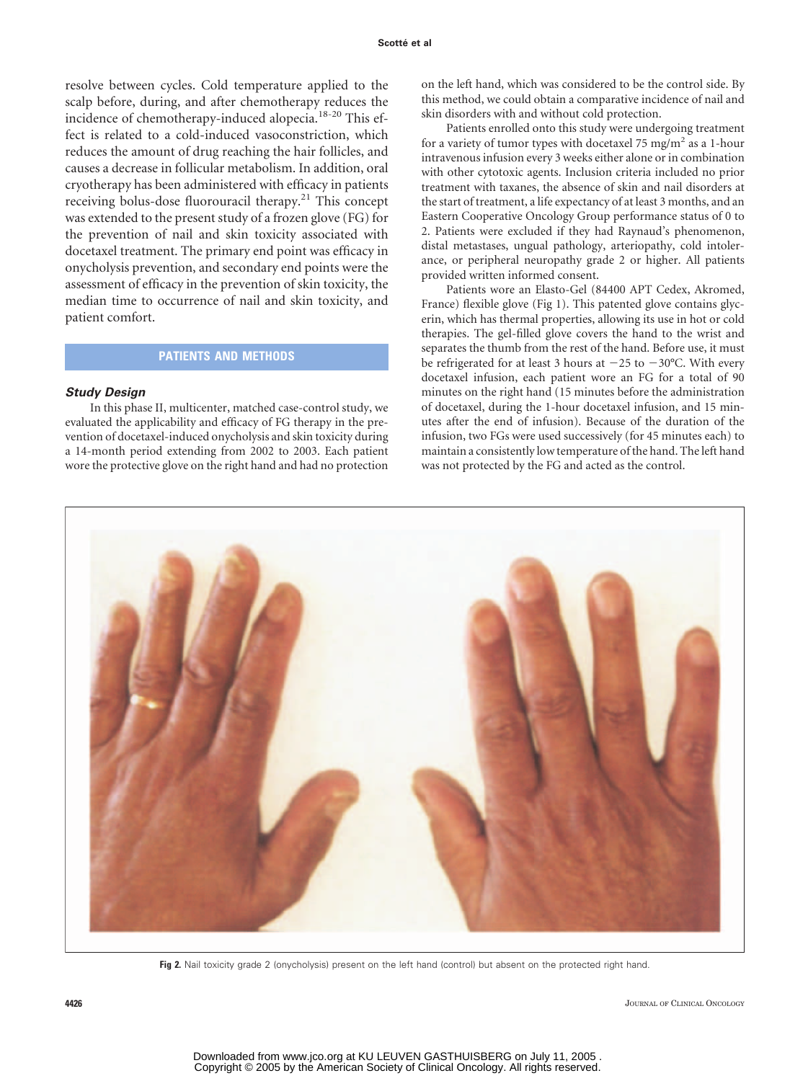resolve between cycles. Cold temperature applied to the scalp before, during, and after chemotherapy reduces the incidence of chemotherapy-induced alopecia.<sup>18-20</sup> This effect is related to a cold-induced vasoconstriction, which reduces the amount of drug reaching the hair follicles, and causes a decrease in follicular metabolism. In addition, oral cryotherapy has been administered with efficacy in patients receiving bolus-dose fluorouracil therapy.21 This concept was extended to the present study of a frozen glove (FG) for the prevention of nail and skin toxicity associated with docetaxel treatment. The primary end point was efficacy in onycholysis prevention, and secondary end points were the assessment of efficacy in the prevention of skin toxicity, the median time to occurrence of nail and skin toxicity, and patient comfort.

## **PATIENTS AND METHODS**

#### *Study Design*

In this phase II, multicenter, matched case-control study, we evaluated the applicability and efficacy of FG therapy in the prevention of docetaxel-induced onycholysis and skin toxicity during a 14-month period extending from 2002 to 2003. Each patient wore the protective glove on the right hand and had no protection on the left hand, which was considered to be the control side. By this method, we could obtain a comparative incidence of nail and skin disorders with and without cold protection.

Patients enrolled onto this study were undergoing treatment for a variety of tumor types with docetaxel 75 mg/m<sup>2</sup> as a 1-hour intravenous infusion every 3 weeks either alone or in combination with other cytotoxic agents. Inclusion criteria included no prior treatment with taxanes, the absence of skin and nail disorders at the start of treatment, a life expectancy of at least 3 months, and an Eastern Cooperative Oncology Group performance status of 0 to 2. Patients were excluded if they had Raynaud's phenomenon, distal metastases, ungual pathology, arteriopathy, cold intolerance, or peripheral neuropathy grade 2 or higher. All patients provided written informed consent.

Patients wore an Elasto-Gel (84400 APT Cedex, Akromed, France) flexible glove (Fig 1). This patented glove contains glycerin, which has thermal properties, allowing its use in hot or cold therapies. The gel-filled glove covers the hand to the wrist and separates the thumb from the rest of the hand. Before use, it must be refrigerated for at least 3 hours at  $-25$  to  $-30^{\circ}$ C. With every docetaxel infusion, each patient wore an FG for a total of 90 minutes on the right hand (15 minutes before the administration of docetaxel, during the 1-hour docetaxel infusion, and 15 minutes after the end of infusion). Because of the duration of the infusion, two FGs were used successively (for 45 minutes each) to maintain a consistently low temperature of the hand. The left hand was not protected by the FG and acted as the control.



**Fig 2.** Nail toxicity grade 2 (onycholysis) present on the left hand (control) but absent on the protected right hand.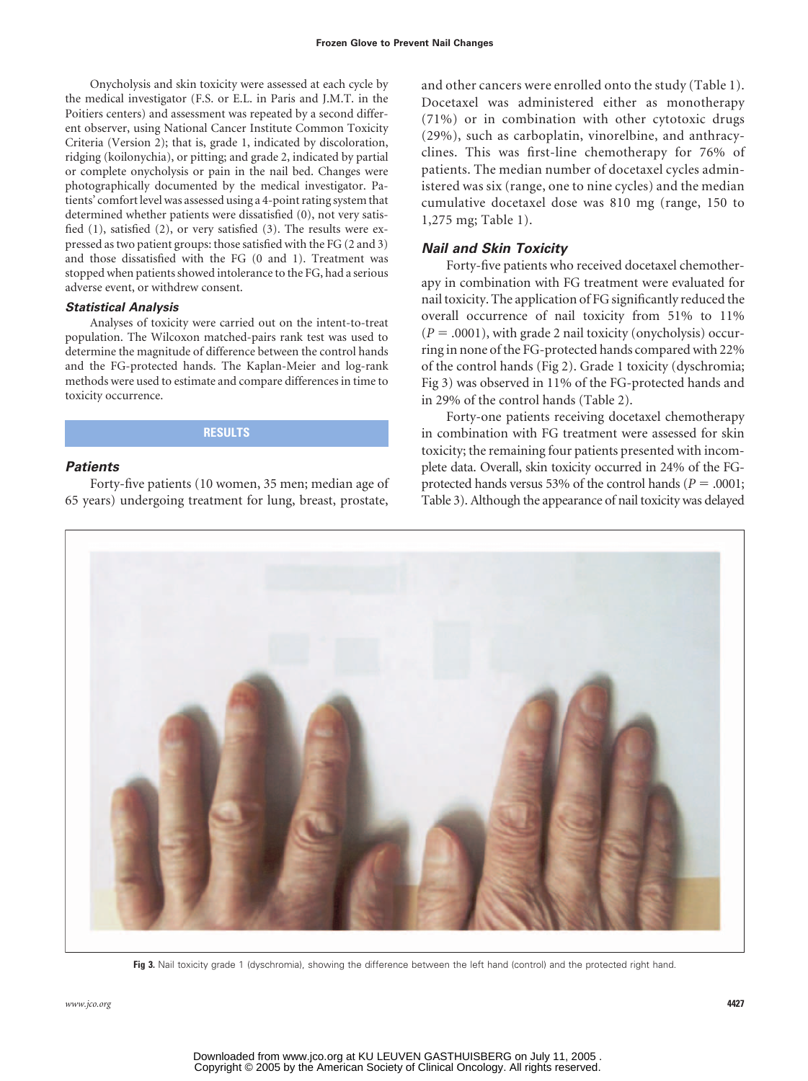Onycholysis and skin toxicity were assessed at each cycle by the medical investigator (F.S. or E.L. in Paris and J.M.T. in the Poitiers centers) and assessment was repeated by a second different observer, using National Cancer Institute Common Toxicity Criteria (Version 2); that is, grade 1, indicated by discoloration, ridging (koilonychia), or pitting; and grade 2, indicated by partial or complete onycholysis or pain in the nail bed. Changes were photographically documented by the medical investigator. Patients' comfort level was assessed using a 4-point rating system that determined whether patients were dissatisfied (0), not very satisfied (1), satisfied (2), or very satisfied (3). The results were expressed as two patient groups: those satisfied with the FG (2 and 3) and those dissatisfied with the FG (0 and 1). Treatment was stopped when patients showed intolerance to the FG, had a serious adverse event, or withdrew consent.

#### *Statistical Analysis*

Analyses of toxicity were carried out on the intent-to-treat population. The Wilcoxon matched-pairs rank test was used to determine the magnitude of difference between the control hands and the FG-protected hands. The Kaplan-Meier and log-rank methods were used to estimate and compare differences in time to toxicity occurrence.

#### **RESULTS**

#### *Patients*

Forty-five patients (10 women, 35 men; median age of 65 years) undergoing treatment for lung, breast, prostate,

and other cancers were enrolled onto the study (Table 1). Docetaxel was administered either as monotherapy (71%) or in combination with other cytotoxic drugs (29%), such as carboplatin, vinorelbine, and anthracyclines. This was first-line chemotherapy for 76% of patients. The median number of docetaxel cycles administered was six (range, one to nine cycles) and the median cumulative docetaxel dose was 810 mg (range, 150 to 1,275 mg; Table 1).

#### *Nail and Skin Toxicity*

Forty-five patients who received docetaxel chemotherapy in combination with FG treatment were evaluated for nail toxicity. The application of FG significantly reduced the overall occurrence of nail toxicity from 51% to 11%  $(P = .0001)$ , with grade 2 nail toxicity (onycholysis) occurring in none of the FG-protected hands compared with 22% of the control hands (Fig 2). Grade 1 toxicity (dyschromia; Fig 3) was observed in 11% of the FG-protected hands and in 29% of the control hands (Table 2).

Forty-one patients receiving docetaxel chemotherapy in combination with FG treatment were assessed for skin toxicity; the remaining four patients presented with incomplete data. Overall, skin toxicity occurred in 24% of the FGprotected hands versus 53% of the control hands ( $P = .0001$ ; Table 3). Although the appearance of nail toxicity was delayed



**Fig 3.** Nail toxicity grade 1 (dyschromia), showing the difference between the left hand (control) and the protected right hand.

*www.jco.org* **4427**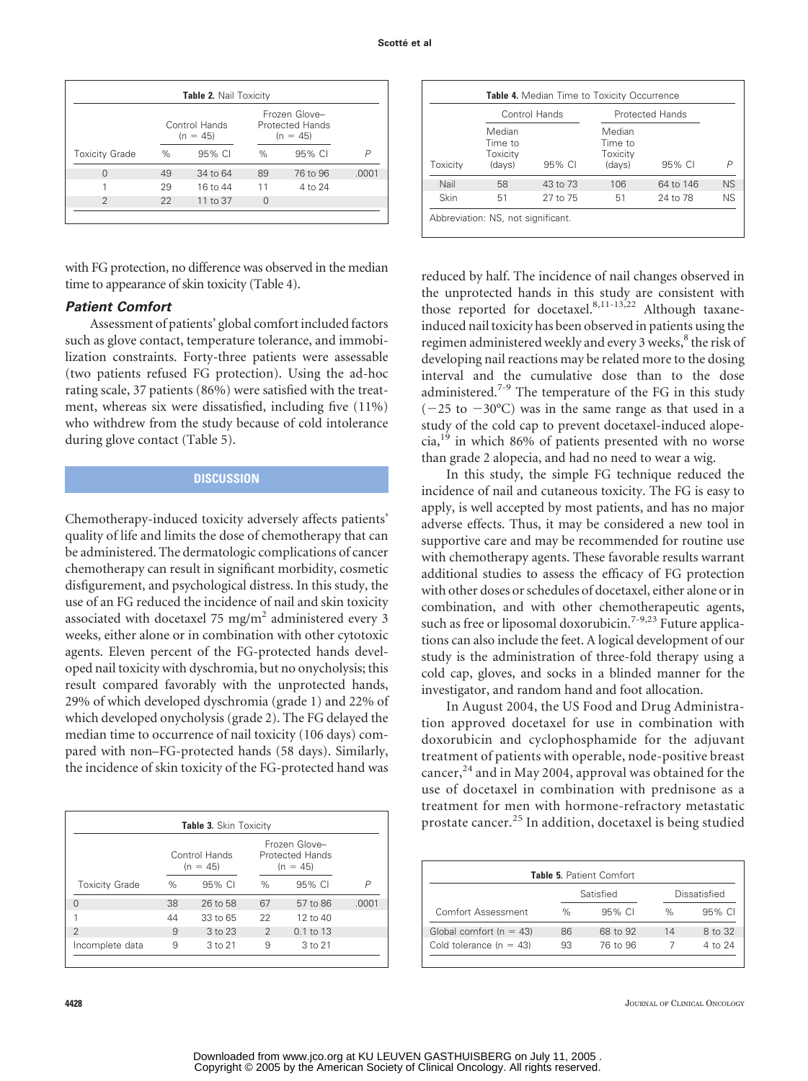| Table 2. Nail Toxicity |                             |          |      |                                                |       |  |
|------------------------|-----------------------------|----------|------|------------------------------------------------|-------|--|
|                        | Control Hands<br>$(n = 45)$ |          |      | Frozen Glove-<br>Protected Hands<br>$(n = 45)$ |       |  |
| <b>Toxicity Grade</b>  | $\%$                        | 95% CI   | $\%$ | 95% CI                                         | P     |  |
| $\Omega$               | 49                          | 34 to 64 | 89   | 76 to 96                                       | .0001 |  |
|                        | 29                          | 16 to 44 | 11   | 4 to 24                                        |       |  |
| $\mathfrak{D}$         | 22                          | 11 to 37 | 0    |                                                |       |  |
|                        |                             |          |      |                                                |       |  |

with FG protection, no difference was observed in the median time to appearance of skin toxicity (Table 4).

#### *Patient Comfort*

Assessment of patients' global comfort included factors such as glove contact, temperature tolerance, and immobilization constraints. Forty-three patients were assessable (two patients refused FG protection). Using the ad-hoc rating scale, 37 patients (86%) were satisfied with the treatment, whereas six were dissatisfied, including five (11%) who withdrew from the study because of cold intolerance during glove contact (Table 5).

### **DISCUSSION**

Chemotherapy-induced toxicity adversely affects patients' quality of life and limits the dose of chemotherapy that can be administered. The dermatologic complications of cancer chemotherapy can result in significant morbidity, cosmetic disfigurement, and psychological distress. In this study, the use of an FG reduced the incidence of nail and skin toxicity associated with docetaxel 75 mg/ $m<sup>2</sup>$  administered every 3 weeks, either alone or in combination with other cytotoxic agents. Eleven percent of the FG-protected hands developed nail toxicity with dyschromia, but no onycholysis; this result compared favorably with the unprotected hands, 29% of which developed dyschromia (grade 1) and 22% of which developed onycholysis (grade 2). The FG delayed the median time to occurrence of nail toxicity (106 days) compared with non–FG-protected hands (58 days). Similarly, the incidence of skin toxicity of the FG-protected hand was

| Table 3. Skin Toxicity      |      |             |                                                       |                      |       |  |  |
|-----------------------------|------|-------------|-------------------------------------------------------|----------------------|-------|--|--|
| Control Hands<br>$(n = 45)$ |      |             | Frozen Glove-<br><b>Protected Hands</b><br>$(n = 45)$ |                      |       |  |  |
| <b>Toxicity Grade</b>       | $\%$ | 95% CI      | $\%$                                                  | 95% CI               | P     |  |  |
| U                           | 38   | 26 to 58    | 67                                                    | 57 to 86             | .0001 |  |  |
|                             | 44   | 33 to 65    | 22                                                    | $12$ to $40$         |       |  |  |
| $\mathfrak{D}$              | 9    | $3$ to $23$ | $\mathcal{P}$                                         | $0.1 \text{ to } 13$ |       |  |  |
| Incomplete data             | 9    | 3 to 21     | 9                                                     | 3 to 21              |       |  |  |

|          |                                         | Control Hands |                                         | <b>Protected Hands</b> |           |  |
|----------|-----------------------------------------|---------------|-----------------------------------------|------------------------|-----------|--|
| Toxicity | Median<br>Time to<br>Toxicity<br>(days) | $95\%$ CI     | Median<br>Time to<br>Toxicity<br>(days) | 95% CI                 | P         |  |
| Nail     | 58                                      | 43 to 73      | 106                                     | 64 to 146              | <b>NS</b> |  |
| Skin     | 51                                      | 27 to 75      | 51                                      | 24 to 78               | <b>NS</b> |  |

reduced by half. The incidence of nail changes observed in the unprotected hands in this study are consistent with those reported for docetaxel.<sup>8,11-13,22</sup> Although taxaneinduced nail toxicity has been observed in patients using the regimen administered weekly and every 3 weeks,<sup>8</sup> the risk of developing nail reactions may be related more to the dosing interval and the cumulative dose than to the dose administered.<sup>7-9</sup> The temperature of the FG in this study  $(-25$  to  $-30^{\circ}$ C) was in the same range as that used in a study of the cold cap to prevent docetaxel-induced alope $cia<sup>19</sup>$  in which 86% of patients presented with no worse than grade 2 alopecia, and had no need to wear a wig.

In this study, the simple FG technique reduced the incidence of nail and cutaneous toxicity. The FG is easy to apply, is well accepted by most patients, and has no major adverse effects. Thus, it may be considered a new tool in supportive care and may be recommended for routine use with chemotherapy agents. These favorable results warrant additional studies to assess the efficacy of FG protection with other doses or schedules of docetaxel, either alone or in combination, and with other chemotherapeutic agents, such as free or liposomal doxorubicin.<sup>7-9,23</sup> Future applications can also include the feet. A logical development of our study is the administration of three-fold therapy using a cold cap, gloves, and socks in a blinded manner for the investigator, and random hand and foot allocation.

In August 2004, the US Food and Drug Administration approved docetaxel for use in combination with doxorubicin and cyclophosphamide for the adjuvant treatment of patients with operable, node-positive breast cancer, $^{24}$  and in May 2004, approval was obtained for the use of docetaxel in combination with prednisone as a treatment for men with hormone-refractory metastatic prostate cancer.<sup>25</sup> In addition, docetaxel is being studied

| Table 5. Patient Comfort |           |      |              |  |  |  |  |
|--------------------------|-----------|------|--------------|--|--|--|--|
|                          | Satisfied |      | Dissatisfied |  |  |  |  |
| $\%$                     | $95\%$ CI | $\%$ | $95\%$ CI    |  |  |  |  |
| 86                       | 68 to 92  | 14   | 8 to 32      |  |  |  |  |
| 93                       | 76 to 96  |      | 4 to 24      |  |  |  |  |
|                          |           |      |              |  |  |  |  |

**4428** JOURNAL OF CLINICAL ONCOLOGY